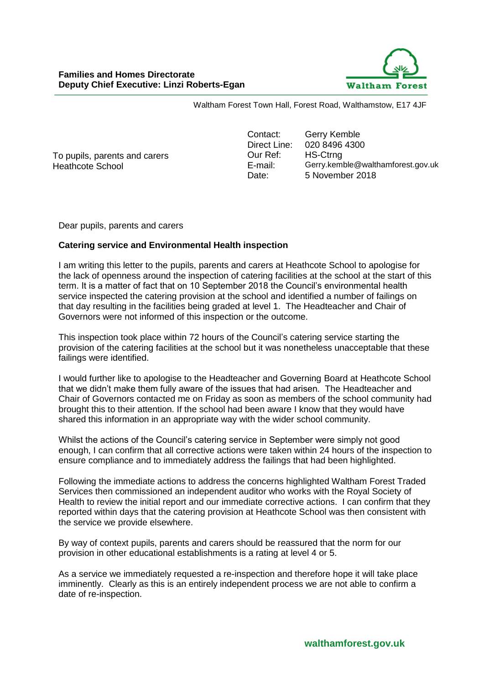

Waltham Forest Town Hall, Forest Road, Walthamstow, E17 4JF

To pupils, parents and carers Heathcote School

Contact: Gerry Kemble Direct Line: 020 8496 4300 Our Ref: HS-Ctrng E-mail: Gerry.kemble@walthamforest.gov.uk Date: 5 November 2018

Dear pupils, parents and carers

## **Catering service and Environmental Health inspection**

I am writing this letter to the pupils, parents and carers at Heathcote School to apologise for the lack of openness around the inspection of catering facilities at the school at the start of this term. It is a matter of fact that on 10 September 2018 the Council's environmental health service inspected the catering provision at the school and identified a number of failings on that day resulting in the facilities being graded at level 1. The Headteacher and Chair of Governors were not informed of this inspection or the outcome.

This inspection took place within 72 hours of the Council's catering service starting the provision of the catering facilities at the school but it was nonetheless unacceptable that these failings were identified.

I would further like to apologise to the Headteacher and Governing Board at Heathcote School that we didn't make them fully aware of the issues that had arisen. The Headteacher and Chair of Governors contacted me on Friday as soon as members of the school community had brought this to their attention. If the school had been aware I know that they would have shared this information in an appropriate way with the wider school community.

Whilst the actions of the Council's catering service in September were simply not good enough, I can confirm that all corrective actions were taken within 24 hours of the inspection to ensure compliance and to immediately address the failings that had been highlighted.

Following the immediate actions to address the concerns highlighted Waltham Forest Traded Services then commissioned an independent auditor who works with the Royal Society of Health to review the initial report and our immediate corrective actions. I can confirm that they reported within days that the catering provision at Heathcote School was then consistent with the service we provide elsewhere.

By way of context pupils, parents and carers should be reassured that the norm for our provision in other educational establishments is a rating at level 4 or 5.

As a service we immediately requested a re-inspection and therefore hope it will take place imminently. Clearly as this is an entirely independent process we are not able to confirm a date of re-inspection.